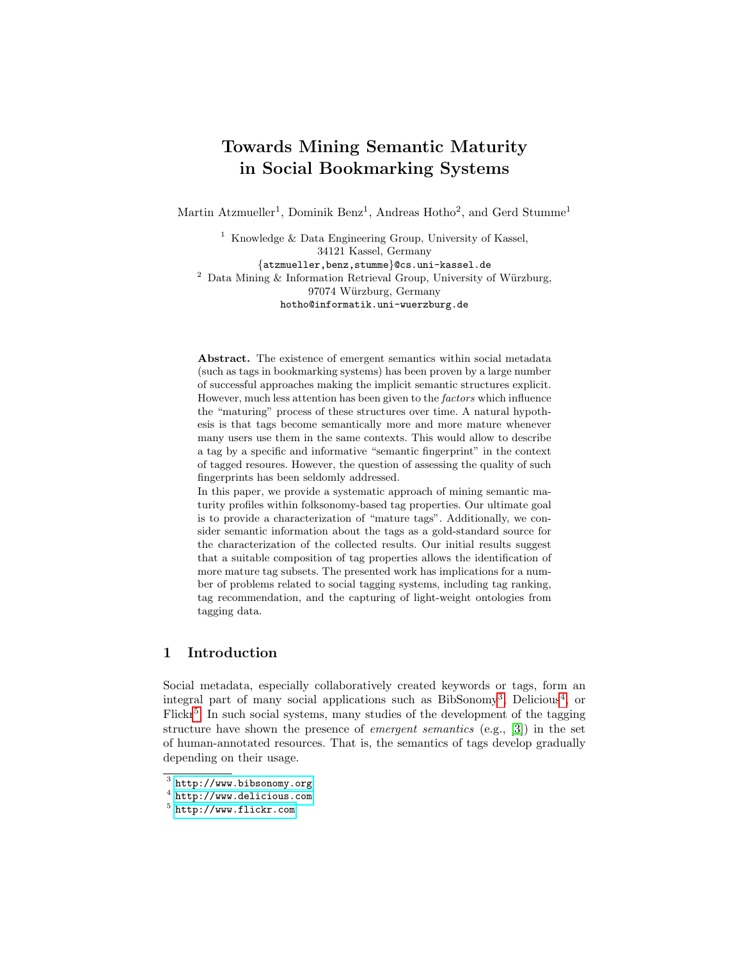# Towards Mining Semantic Maturity in Social Bookmarking Systems

Martin Atzmueller<sup>1</sup>, Dominik Benz<sup>1</sup>, Andreas Hotho<sup>2</sup>, and Gerd Stumme<sup>1</sup>

<sup>1</sup> Knowledge & Data Engineering Group, University of Kassel, 34121 Kassel, Germany {atzmueller,benz,stumme}@cs.uni-kassel.de  $2$  Data Mining & Information Retrieval Group, University of Würzburg, 97074 Würzburg, Germany hotho@informatik.uni-wuerzburg.de

Abstract. The existence of emergent semantics within social metadata (such as tags in bookmarking systems) has been proven by a large number of successful approaches making the implicit semantic structures explicit. However, much less attention has been given to the factors which influence the "maturing" process of these structures over time. A natural hypothesis is that tags become semantically more and more mature whenever many users use them in the same contexts. This would allow to describe a tag by a specific and informative "semantic fingerprint" in the context of tagged resoures. However, the question of assessing the quality of such fingerprints has been seldomly addressed.

In this paper, we provide a systematic approach of mining semantic maturity profiles within folksonomy-based tag properties. Our ultimate goal is to provide a characterization of "mature tags". Additionally, we consider semantic information about the tags as a gold-standard source for the characterization of the collected results. Our initial results suggest that a suitable composition of tag properties allows the identification of more mature tag subsets. The presented work has implications for a number of problems related to social tagging systems, including tag ranking, tag recommendation, and the capturing of light-weight ontologies from tagging data.

## 1 Introduction

Social metadata, especially collaboratively created keywords or tags, form an integral part of many social applications such as BibSonomy<sup>[3](#page-0-0)</sup>, Delicious<sup>[4](#page-0-1)</sup>, or Flickr<sup>[5](#page-0-2)</sup>. In such social systems, many studies of the development of the tagging structure have shown the presence of *emergent semantics* (e.g., [\[3\]](#page-11-0)) in the set of human-annotated resources. That is, the semantics of tags develop gradually depending on their usage.

<span id="page-0-0"></span> $3$  <http://www.bibsonomy.org>

<span id="page-0-1"></span> $^4$  <http://www.delicious.com>

<span id="page-0-2"></span><sup>5</sup> <http://www.flickr.com>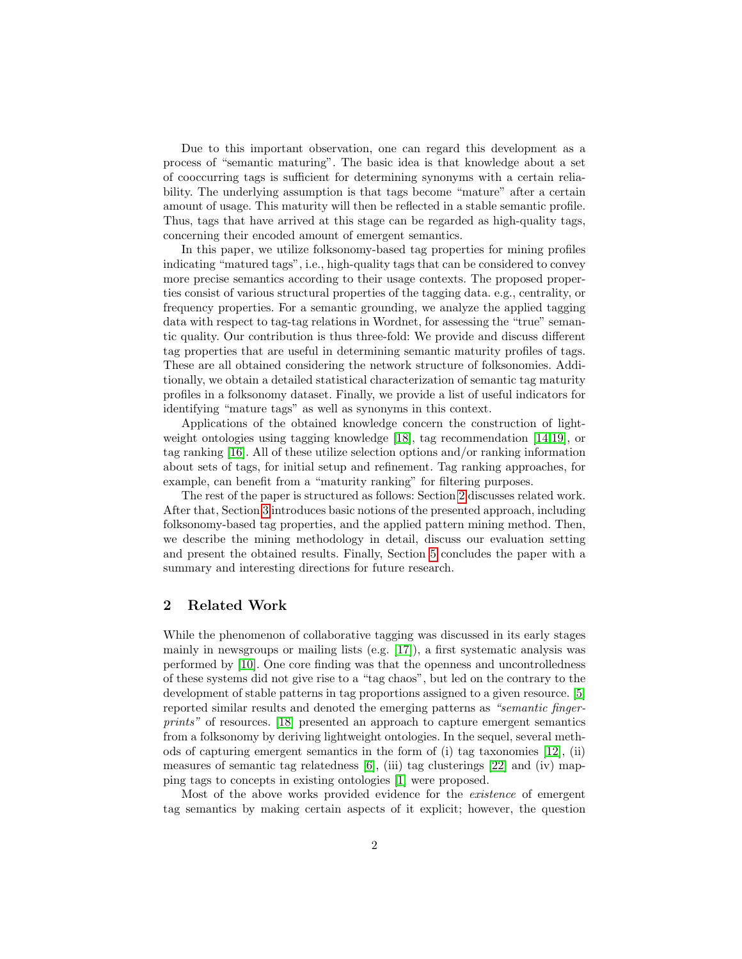Due to this important observation, one can regard this development as a process of "semantic maturing". The basic idea is that knowledge about a set of cooccurring tags is sufficient for determining synonyms with a certain reliability. The underlying assumption is that tags become "mature" after a certain amount of usage. This maturity will then be reflected in a stable semantic profile. Thus, tags that have arrived at this stage can be regarded as high-quality tags, concerning their encoded amount of emergent semantics.

In this paper, we utilize folksonomy-based tag properties for mining profiles indicating "matured tags", i.e., high-quality tags that can be considered to convey more precise semantics according to their usage contexts. The proposed properties consist of various structural properties of the tagging data. e.g., centrality, or frequency properties. For a semantic grounding, we analyze the applied tagging data with respect to tag-tag relations in Wordnet, for assessing the "true" semantic quality. Our contribution is thus three-fold: We provide and discuss different tag properties that are useful in determining semantic maturity profiles of tags. These are all obtained considering the network structure of folksonomies. Additionally, we obtain a detailed statistical characterization of semantic tag maturity profiles in a folksonomy dataset. Finally, we provide a list of useful indicators for identifying "mature tags" as well as synonyms in this context.

Applications of the obtained knowledge concern the construction of lightweight ontologies using tagging knowledge [\[18\]](#page-11-1), tag recommendation [\[14,](#page-11-2)[19\]](#page-11-3), or tag ranking [\[16\]](#page-11-4). All of these utilize selection options and/or ranking information about sets of tags, for initial setup and refinement. Tag ranking approaches, for example, can benefit from a "maturity ranking" for filtering purposes.

The rest of the paper is structured as follows: Section [2](#page-1-0) discusses related work. After that, Section [3](#page-2-0) introduces basic notions of the presented approach, including folksonomy-based tag properties, and the applied pattern mining method. Then, we describe the mining methodology in detail, discuss our evaluation setting and present the obtained results. Finally, Section [5](#page-10-0) concludes the paper with a summary and interesting directions for future research.

### <span id="page-1-0"></span>2 Related Work

While the phenomenon of collaborative tagging was discussed in its early stages mainly in newsgroups or mailing lists (e.g. [\[17\]](#page-11-5)), a first systematic analysis was performed by [\[10\]](#page-11-6). One core finding was that the openness and uncontrolledness of these systems did not give rise to a "tag chaos", but led on the contrary to the development of stable patterns in tag proportions assigned to a given resource. [\[5\]](#page-11-7) reported similar results and denoted the emerging patterns as "semantic fingerprints" of resources. [\[18\]](#page-11-1) presented an approach to capture emergent semantics from a folksonomy by deriving lightweight ontologies. In the sequel, several methods of capturing emergent semantics in the form of (i) tag taxonomies [\[12\]](#page-11-8), (ii) measures of semantic tag relatedness [\[6\]](#page-11-9), (iii) tag clusterings [\[22\]](#page-11-10) and (iv) mapping tags to concepts in existing ontologies [\[1\]](#page-10-1) were proposed.

Most of the above works provided evidence for the existence of emergent tag semantics by making certain aspects of it explicit; however, the question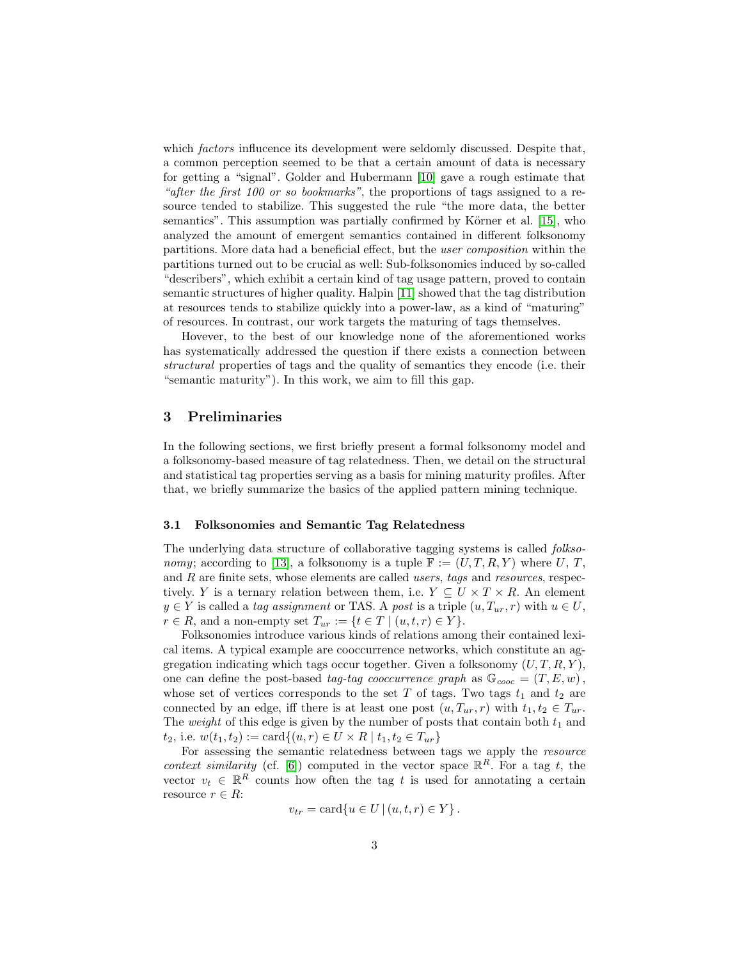which *factors* influcence its development were seldomly discussed. Despite that, a common perception seemed to be that a certain amount of data is necessary for getting a "signal". Golder and Hubermann [\[10\]](#page-11-6) gave a rough estimate that "after the first 100 or so bookmarks", the proportions of tags assigned to a resource tended to stabilize. This suggested the rule "the more data, the better semantics". This assumption was partially confirmed by Körner et al. [\[15\]](#page-11-11), who analyzed the amount of emergent semantics contained in different folksonomy partitions. More data had a beneficial effect, but the user composition within the partitions turned out to be crucial as well: Sub-folksonomies induced by so-called "describers", which exhibit a certain kind of tag usage pattern, proved to contain semantic structures of higher quality. Halpin [\[11\]](#page-11-12) showed that the tag distribution at resources tends to stabilize quickly into a power-law, as a kind of "maturing" of resources. In contrast, our work targets the maturing of tags themselves.

Hovever, to the best of our knowledge none of the aforementioned works has systematically addressed the question if there exists a connection between structural properties of tags and the quality of semantics they encode (i.e. their "semantic maturity"). In this work, we aim to fill this gap.

### <span id="page-2-0"></span>3 Preliminaries

In the following sections, we first briefly present a formal folksonomy model and a folksonomy-based measure of tag relatedness. Then, we detail on the structural and statistical tag properties serving as a basis for mining maturity profiles. After that, we briefly summarize the basics of the applied pattern mining technique.

#### 3.1 Folksonomies and Semantic Tag Relatedness

The underlying data structure of collaborative tagging systems is called folkso-nomy; according to [\[13\]](#page-11-13), a folksonomy is a tuple  $\mathbb{F} := (U, T, R, Y)$  where U, T, and R are finite sets, whose elements are called *users*, tags and *resources*, respectively. Y is a ternary relation between them, i.e.  $Y \subseteq U \times T \times R$ . An element  $y \in Y$  is called a tag assignment or TAS. A post is a triple  $(u, T_{ur}, r)$  with  $u \in U$ ,  $r \in R$ , and a non-empty set  $T_{ur} := \{t \in T \mid (u, t, r) \in Y\}.$ 

Folksonomies introduce various kinds of relations among their contained lexical items. A typical example are cooccurrence networks, which constitute an aggregation indicating which tags occur together. Given a folksonomy  $(U, T, R, Y)$ , one can define the post-based tag-tag cooccurrence graph as  $\mathbb{G}_{cooc} = (T, E, w)$ , whose set of vertices corresponds to the set T of tags. Two tags  $t_1$  and  $t_2$  are connected by an edge, iff there is at least one post  $(u, T_{ur}, r)$  with  $t_1, t_2 \in T_{ur}$ . The *weight* of this edge is given by the number of posts that contain both  $t_1$  and  $t_2$ , i.e.  $w(t_1, t_2) := \text{card}\{(u, r) \in U \times R \mid t_1, t_2 \in T_{ur}\}\$ 

For assessing the semantic relatedness between tags we apply the resource context similarity (cf. [\[6\]](#page-11-9)) computed in the vector space  $\mathbb{R}^R$ . For a tag t, the vector  $v_t \in \mathbb{R}^R$  counts how often the tag t is used for annotating a certain resource  $r \in R$ :

$$
v_{tr} = \text{card}\{u \in U \mid (u, t, r) \in Y\}.
$$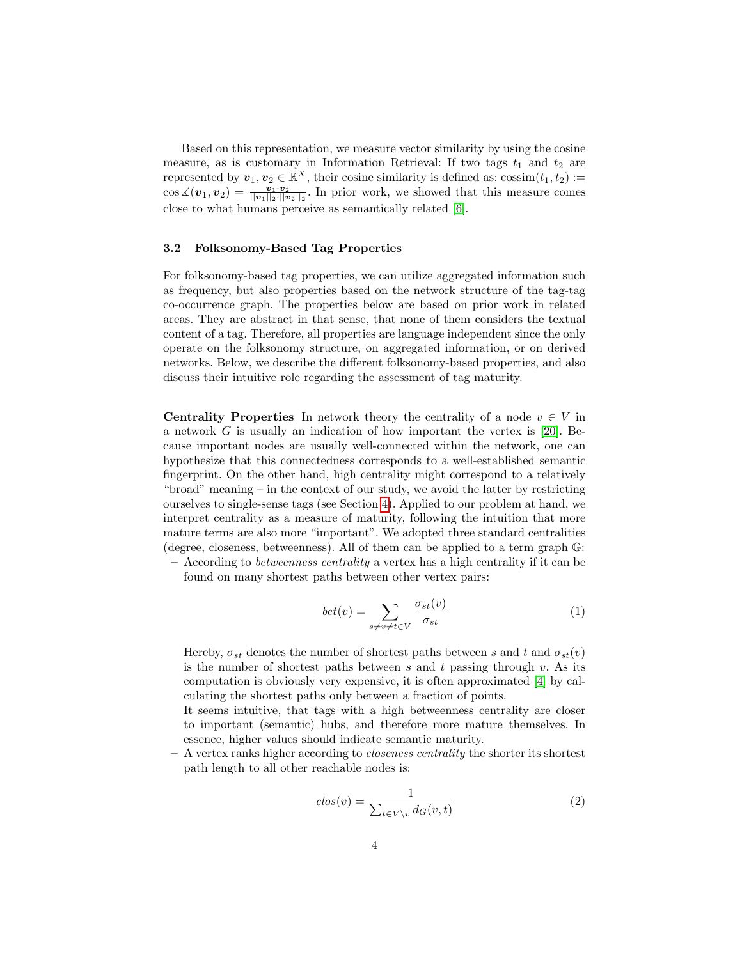Based on this representation, we measure vector similarity by using the cosine measure, as is customary in Information Retrieval: If two tags  $t_1$  and  $t_2$  are represented by  $\mathbf{v}_1, \mathbf{v}_2 \in \mathbb{R}^X$ , their cosine similarity is defined as:  $\cos\!\sin\!\left(t_1, t_2\right) :=$  $\cos \angle(\boldsymbol{v}_1, \boldsymbol{v}_2) = \frac{\boldsymbol{v}_1 \cdot \boldsymbol{v}_2}{\|\boldsymbol{v}_1\|_2 \cdot \|\boldsymbol{v}_2\|_2}$ . In prior work, we showed that this measure comes close to what humans perceive as semantically related [\[6\]](#page-11-9).

#### <span id="page-3-0"></span>3.2 Folksonomy-Based Tag Properties

For folksonomy-based tag properties, we can utilize aggregated information such as frequency, but also properties based on the network structure of the tag-tag co-occurrence graph. The properties below are based on prior work in related areas. They are abstract in that sense, that none of them considers the textual content of a tag. Therefore, all properties are language independent since the only operate on the folksonomy structure, on aggregated information, or on derived networks. Below, we describe the different folksonomy-based properties, and also discuss their intuitive role regarding the assessment of tag maturity.

**Centrality Properties** In network theory the centrality of a node  $v \in V$  in a network G is usually an indication of how important the vertex is [\[20\]](#page-11-14). Because important nodes are usually well-connected within the network, one can hypothesize that this connectedness corresponds to a well-established semantic fingerprint. On the other hand, high centrality might correspond to a relatively "broad" meaning – in the context of our study, we avoid the latter by restricting ourselves to single-sense tags (see Section [4\)](#page-5-0). Applied to our problem at hand, we interpret centrality as a measure of maturity, following the intuition that more mature terms are also more "important". We adopted three standard centralities (degree, closeness, betweenness). All of them can be applied to a term graph G:

 $-$  According to *betweenness centrality* a vertex has a high centrality if it can be found on many shortest paths between other vertex pairs:

$$
bet(v) = \sum_{s \neq v \neq t \in V} \frac{\sigma_{st}(v)}{\sigma_{st}} \tag{1}
$$

Hereby,  $\sigma_{st}$  denotes the number of shortest paths between s and t and  $\sigma_{st}(v)$ is the number of shortest paths between s and t passing through  $v$ . As its computation is obviously very expensive, it is often approximated [\[4\]](#page-11-15) by calculating the shortest paths only between a fraction of points.

It seems intuitive, that tags with a high betweenness centrality are closer to important (semantic) hubs, and therefore more mature themselves. In essence, higher values should indicate semantic maturity.

– A vertex ranks higher according to closeness centrality the shorter its shortest path length to all other reachable nodes is:

$$
clos(v) = \frac{1}{\sum_{t \in V \setminus v} d_G(v, t)}\tag{2}
$$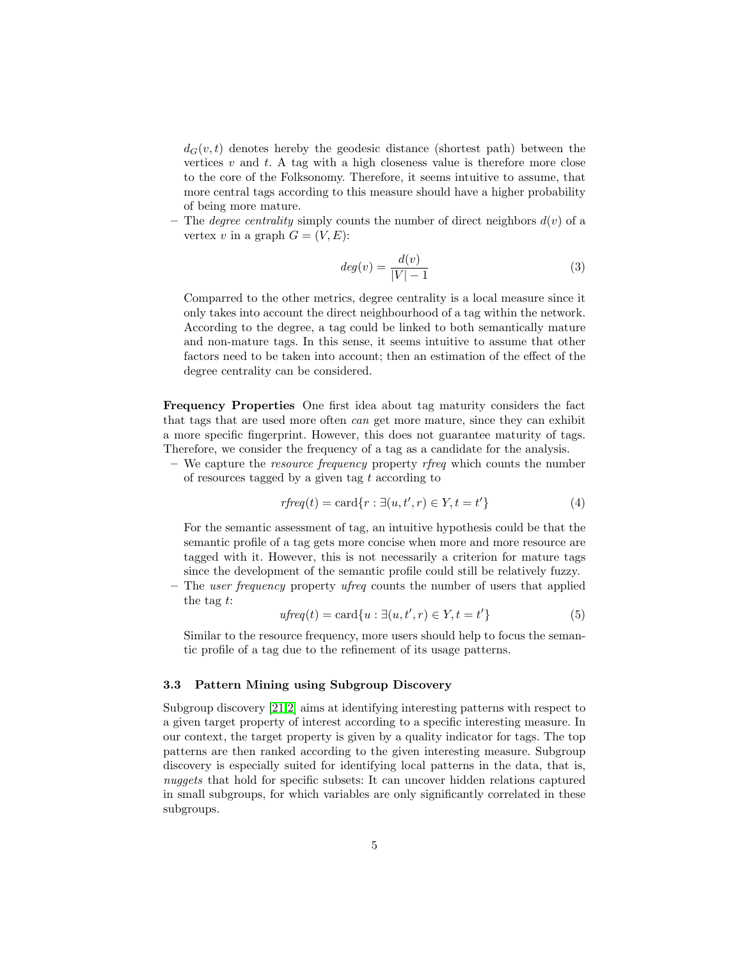$d_G(v, t)$  denotes hereby the geodesic distance (shortest path) between the vertices  $v$  and  $t$ . A tag with a high closeness value is therefore more close to the core of the Folksonomy. Therefore, it seems intuitive to assume, that more central tags according to this measure should have a higher probability of being more mature.

– The *degree centrality* simply counts the number of direct neighbors  $d(v)$  of a vertex v in a graph  $G = (V, E)$ :

$$
deg(v) = \frac{d(v)}{|V| - 1} \tag{3}
$$

Comparred to the other metrics, degree centrality is a local measure since it only takes into account the direct neighbourhood of a tag within the network. According to the degree, a tag could be linked to both semantically mature and non-mature tags. In this sense, it seems intuitive to assume that other factors need to be taken into account; then an estimation of the effect of the degree centrality can be considered.

Frequency Properties One first idea about tag maturity considers the fact that tags that are used more often can get more mature, since they can exhibit a more specific fingerprint. However, this does not guarantee maturity of tags. Therefore, we consider the frequency of a tag as a candidate for the analysis.

– We capture the *resource frequency* property *rfreq* which counts the number of resources tagged by a given tag  $t$  according to

$$
rfreq(t) = \text{card}\{r : \exists (u, t', r) \in Y, t = t'\}\tag{4}
$$

For the semantic assessment of tag, an intuitive hypothesis could be that the semantic profile of a tag gets more concise when more and more resource are tagged with it. However, this is not necessarily a criterion for mature tags since the development of the semantic profile could still be relatively fuzzy.

 $-$  The *user frequency* property *ufreq* counts the number of users that applied the tag t:

$$
ufreq(t) = \text{card}\{u : \exists (u, t', r) \in Y, t = t'\}\tag{5}
$$

Similar to the resource frequency, more users should help to focus the semantic profile of a tag due to the refinement of its usage patterns.

### 3.3 Pattern Mining using Subgroup Discovery

Subgroup discovery [\[21,](#page-11-16)[2\]](#page-11-17) aims at identifying interesting patterns with respect to a given target property of interest according to a specific interesting measure. In our context, the target property is given by a quality indicator for tags. The top patterns are then ranked according to the given interesting measure. Subgroup discovery is especially suited for identifying local patterns in the data, that is, nuggets that hold for specific subsets: It can uncover hidden relations captured in small subgroups, for which variables are only significantly correlated in these subgroups.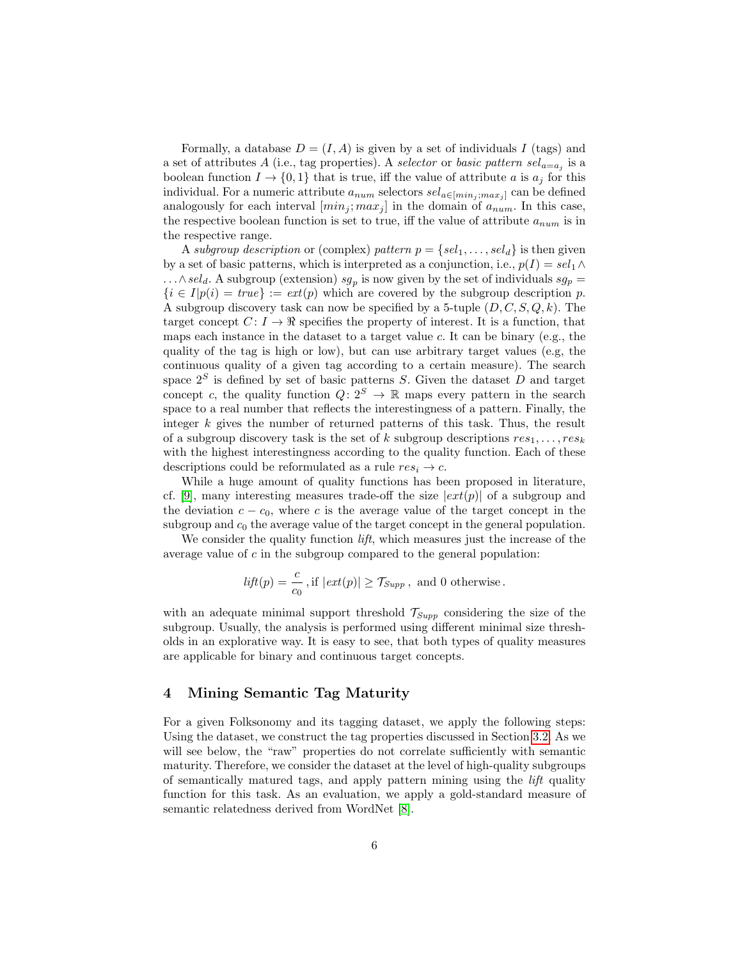Formally, a database  $D = (I, A)$  is given by a set of individuals I (tags) and a set of attributes A (i.e., tag properties). A selector or basic pattern  $sel_{a=a_j}$  is a boolean function  $I \to \{0,1\}$  that is true, iff the value of attribute a is  $a_i$  for this individual. For a numeric attribute  $a_{num}$  selectors  $sel_{a \in [min_j;max_j]}$  can be defined analogously for each interval  $(min_j; max_j]$  in the domain of  $a_{num}$ . In this case, the respective boolean function is set to true, iff the value of attribute  $a_{num}$  is in the respective range.

A subgroup description or (complex) pattern  $p = \{sel_1, \ldots, sel_d\}$  is then given by a set of basic patterns, which is interpreted as a conjunction, i.e.,  $p(I) = sel_1 \wedge$  $\ldots \wedge sel_d$ . A subgroup (extension)  $sg_p$  is now given by the set of individuals  $sg_p =$  ${i \in I}$  $p(i) = true$  :=  $ext(p)$  which are covered by the subgroup description p. A subgroup discovery task can now be specified by a 5-tuple  $(D, C, S, Q, k)$ . The target concept  $C: I \to \mathcal{R}$  specifies the property of interest. It is a function, that maps each instance in the dataset to a target value  $c$ . It can be binary (e.g., the quality of the tag is high or low), but can use arbitrary target values (e.g, the continuous quality of a given tag according to a certain measure). The search space  $2^S$  is defined by set of basic patterns S. Given the dataset D and target concept c, the quality function  $Q: 2^S \to \mathbb{R}$  maps every pattern in the search space to a real number that reflects the interestingness of a pattern. Finally, the integer k gives the number of returned patterns of this task. Thus, the result of a subgroup discovery task is the set of k subgroup descriptions  $res_1, \ldots, res_k$ with the highest interestingness according to the quality function. Each of these descriptions could be reformulated as a rule  $res_i \rightarrow c$ .

While a huge amount of quality functions has been proposed in literature, cf. [\[9\]](#page-11-18), many interesting measures trade-off the size  $|ext(p)|$  of a subgroup and the deviation  $c - c_0$ , where c is the average value of the target concept in the subgroup and  $c_0$  the average value of the target concept in the general population.

We consider the quality function *lift*, which measures just the increase of the average value of  $c$  in the subgroup compared to the general population:

$$
lift(p) = \frac{c}{c_0}
$$
, if  $|ext(p)| \geq \mathcal{T}_{Supp}$ , and 0 otherwise.

with an adequate minimal support threshold  $\mathcal{T}_{Supp}$  considering the size of the subgroup. Usually, the analysis is performed using different minimal size thresholds in an explorative way. It is easy to see, that both types of quality measures are applicable for binary and continuous target concepts.

### <span id="page-5-0"></span>4 Mining Semantic Tag Maturity

For a given Folksonomy and its tagging dataset, we apply the following steps: Using the dataset, we construct the tag properties discussed in Section [3.2.](#page-3-0) As we will see below, the "raw" properties do not correlate sufficiently with semantic maturity. Therefore, we consider the dataset at the level of high-quality subgroups of semantically matured tags, and apply pattern mining using the lift quality function for this task. As an evaluation, we apply a gold-standard measure of semantic relatedness derived from WordNet [\[8\]](#page-11-19).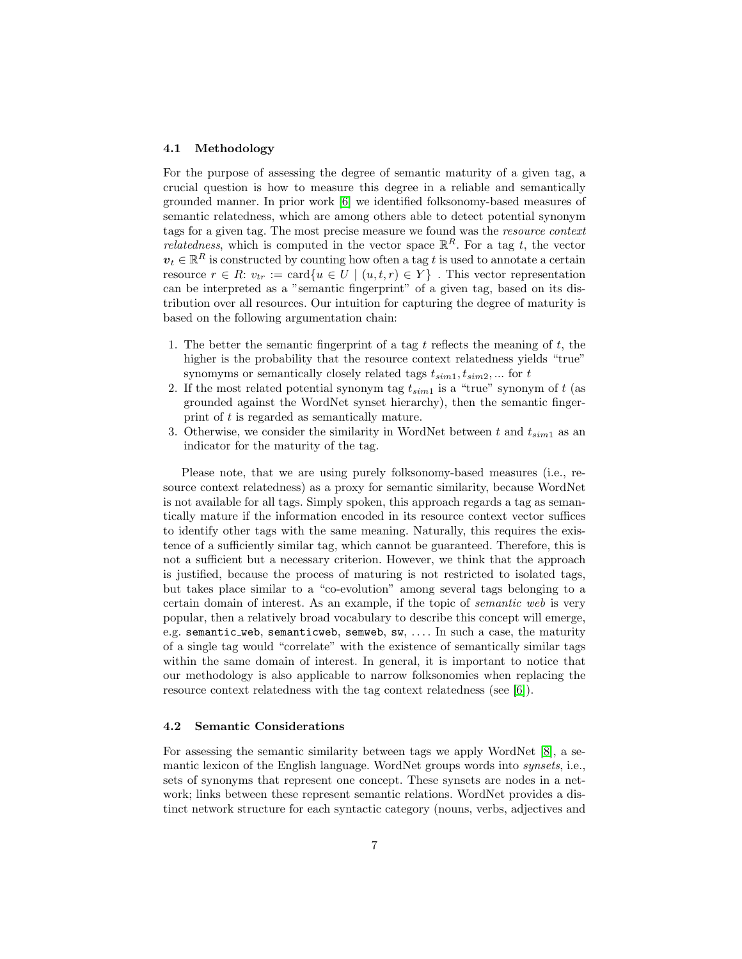#### 4.1 Methodology

For the purpose of assessing the degree of semantic maturity of a given tag, a crucial question is how to measure this degree in a reliable and semantically grounded manner. In prior work [\[6\]](#page-11-9) we identified folksonomy-based measures of semantic relatedness, which are among others able to detect potential synonym tags for a given tag. The most precise measure we found was the resource context *relatedness*, which is computed in the vector space  $\mathbb{R}^R$ . For a tag t, the vector  $v_t \in \mathbb{R}^R$  is constructed by counting how often a tag t is used to annotate a certain resource  $r \in R$ :  $v_{tr} := \text{card}\{u \in U \mid (u, t, r) \in Y\}$ . This vector representation can be interpreted as a "semantic fingerprint" of a given tag, based on its distribution over all resources. Our intuition for capturing the degree of maturity is based on the following argumentation chain:

- 1. The better the semantic fingerprint of a tag t reflects the meaning of t, the higher is the probability that the resource context relatedness yields "true" synomyms or semantically closely related tags  $t_{sim1}, t_{sim2}, \dots$  for  $t$
- 2. If the most related potential synonym tag  $t_{sim1}$  is a "true" synonym of t (as grounded against the WordNet synset hierarchy), then the semantic fingerprint of t is regarded as semantically mature.
- 3. Otherwise, we consider the similarity in WordNet between t and  $t_{sim1}$  as an indicator for the maturity of the tag.

Please note, that we are using purely folksonomy-based measures (i.e., resource context relatedness) as a proxy for semantic similarity, because WordNet is not available for all tags. Simply spoken, this approach regards a tag as semantically mature if the information encoded in its resource context vector suffices to identify other tags with the same meaning. Naturally, this requires the existence of a sufficiently similar tag, which cannot be guaranteed. Therefore, this is not a sufficient but a necessary criterion. However, we think that the approach is justified, because the process of maturing is not restricted to isolated tags, but takes place similar to a "co-evolution" among several tags belonging to a certain domain of interest. As an example, if the topic of semantic web is very popular, then a relatively broad vocabulary to describe this concept will emerge, e.g. semantic web, semanticweb, semweb, sw, .... In such a case, the maturity of a single tag would "correlate" with the existence of semantically similar tags within the same domain of interest. In general, it is important to notice that our methodology is also applicable to narrow folksonomies when replacing the resource context relatedness with the tag context relatedness (see [\[6\]](#page-11-9)).

### 4.2 Semantic Considerations

For assessing the semantic similarity between tags we apply WordNet [\[8\]](#page-11-19), a semantic lexicon of the English language. WordNet groups words into *synsets*, i.e., sets of synonyms that represent one concept. These synsets are nodes in a network; links between these represent semantic relations. WordNet provides a distinct network structure for each syntactic category (nouns, verbs, adjectives and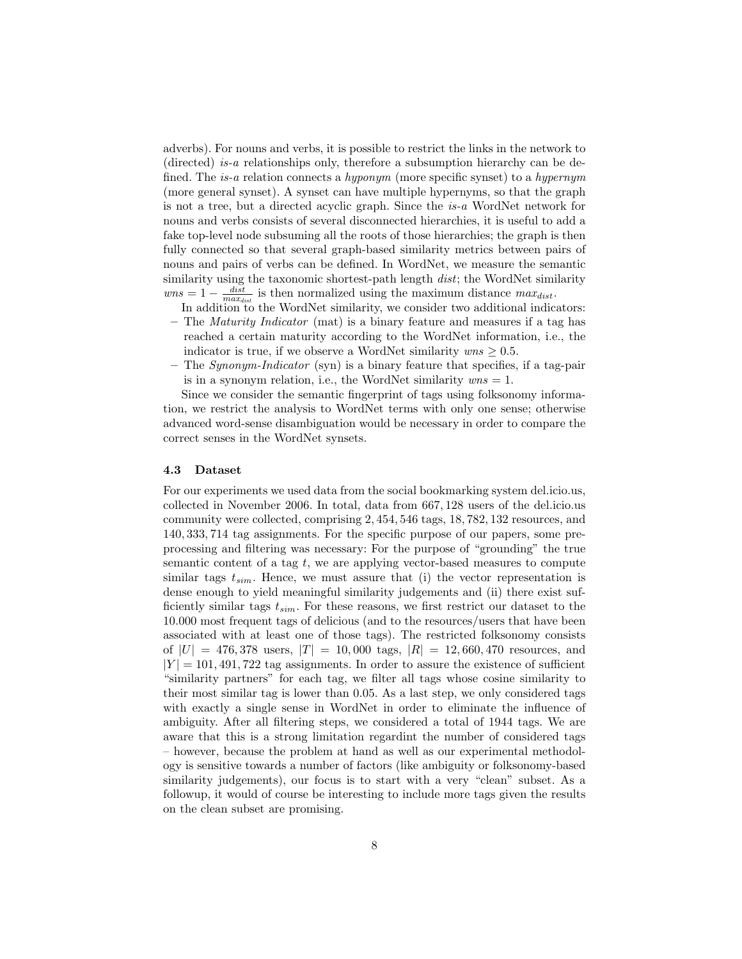adverbs). For nouns and verbs, it is possible to restrict the links in the network to (directed) is-a relationships only, therefore a subsumption hierarchy can be defined. The is-a relation connects a hyponym (more specific synset) to a hypernym (more general synset). A synset can have multiple hypernyms, so that the graph is not a tree, but a directed acyclic graph. Since the is-a WordNet network for nouns and verbs consists of several disconnected hierarchies, it is useful to add a fake top-level node subsuming all the roots of those hierarchies; the graph is then fully connected so that several graph-based similarity metrics between pairs of nouns and pairs of verbs can be defined. In WordNet, we measure the semantic similarity using the taxonomic shortest-path length dist; the WordNet similarity  $wns = 1 - \frac{dist}{max_{dist}}$  is then normalized using the maximum distance  $max_{dist}$ .

In addition to the WordNet similarity, we consider two additional indicators:

- The *Maturity Indicator* (mat) is a binary feature and measures if a tag has reached a certain maturity according to the WordNet information, i.e., the indicator is true, if we observe a WordNet similarity  $wns \geq 0.5$ .
- The Synonym-Indicator (syn) is a binary feature that specifies, if a tag-pair is in a synonym relation, i.e., the WordNet similarity  $wns = 1$ .

Since we consider the semantic fingerprint of tags using folksonomy information, we restrict the analysis to WordNet terms with only one sense; otherwise advanced word-sense disambiguation would be necessary in order to compare the correct senses in the WordNet synsets.

#### 4.3 Dataset

For our experiments we used data from the social bookmarking system del.icio.us, collected in November 2006. In total, data from 667, 128 users of the del.icio.us community were collected, comprising 2, 454, 546 tags, 18, 782, 132 resources, and 140, 333, 714 tag assignments. For the specific purpose of our papers, some preprocessing and filtering was necessary: For the purpose of "grounding" the true semantic content of a tag  $t$ , we are applying vector-based measures to compute similar tags  $t_{sim}$ . Hence, we must assure that (i) the vector representation is dense enough to yield meaningful similarity judgements and (ii) there exist sufficiently similar tags  $t_{sim}$ . For these reasons, we first restrict our dataset to the 10.000 most frequent tags of delicious (and to the resources/users that have been associated with at least one of those tags). The restricted folksonomy consists of  $|U| = 476,378$  users,  $|T| = 10,000$  tags,  $|R| = 12,660,470$  resources, and  $|Y| = 101,491,722$  tag assignments. In order to assure the existence of sufficient "similarity partners" for each tag, we filter all tags whose cosine similarity to their most similar tag is lower than 0.05. As a last step, we only considered tags with exactly a single sense in WordNet in order to eliminate the influence of ambiguity. After all filtering steps, we considered a total of 1944 tags. We are aware that this is a strong limitation regardint the number of considered tags – however, because the problem at hand as well as our experimental methodology is sensitive towards a number of factors (like ambiguity or folksonomy-based similarity judgements), our focus is to start with a very "clean" subset. As a followup, it would of course be interesting to include more tags given the results on the clean subset are promising.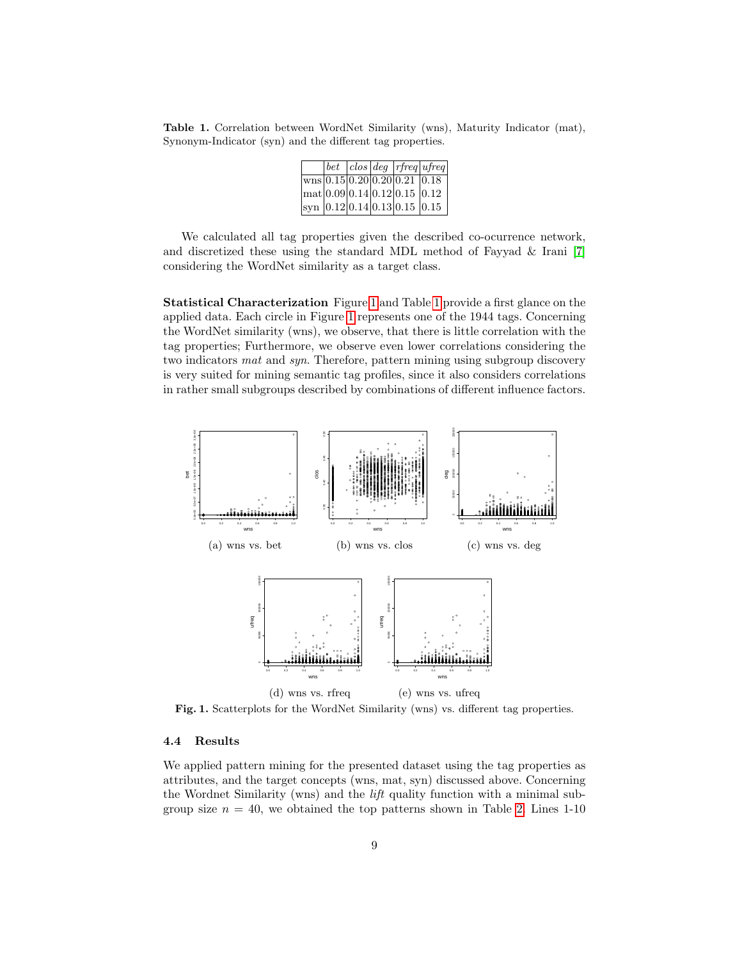<span id="page-8-1"></span>Table 1. Correlation between WordNet Similarity (wns), Maturity Indicator (mat), Synonym-Indicator (syn) and the different tag properties.

|  |  |                                                                              | $\sqrt{det \int clos \int deg \int r f req \vert u f req \vert}$ |
|--|--|------------------------------------------------------------------------------|------------------------------------------------------------------|
|  |  | $\sqrt{\text{wns}[0.15] 0.20} 0.20 0.21 0.18$                                |                                                                  |
|  |  | $\frac{1}{2}$ mat 0.09 0.14 0.12 0.15 0.12                                   |                                                                  |
|  |  | $\vert$ syn $\vert$ 0.12 $\vert$ 0.14 $\vert$ 0.13 $\vert$ 0.15 $\vert$ 0.15 |                                                                  |

We calculated all tag properties given the described co-ocurrence network, and discretized these using the standard MDL method of Fayyad & Irani [\[7\]](#page-11-20) considering the WordNet similarity as a target class.

Statistical Characterization Figure [1](#page-8-0) and Table [1](#page-8-1) provide a first glance on the applied data. Each circle in Figure [1](#page-8-0) represents one of the 1944 tags. Concerning the WordNet similarity (wns), we observe, that there is little correlation with the tag properties; Furthermore, we observe even lower correlations considering the two indicators *mat* and *syn*. Therefore, pattern mining using subgroup discovery is very suited for mining semantic tag profiles, since it also considers correlations in rather small subgroups described by combinations of different influence factors.



<span id="page-8-0"></span>Fig. 1. Scatterplots for the WordNet Similarity (wns) vs. different tag properties.

### 4.4 Results

We applied pattern mining for the presented dataset using the tag properties as attributes, and the target concepts (wns, mat, syn) discussed above. Concerning the Wordnet Similarity (wns) and the lift quality function with a minimal subgroup size  $n = 40$ , we obtained the top patterns shown in Table [2.](#page-9-0) Lines 1-10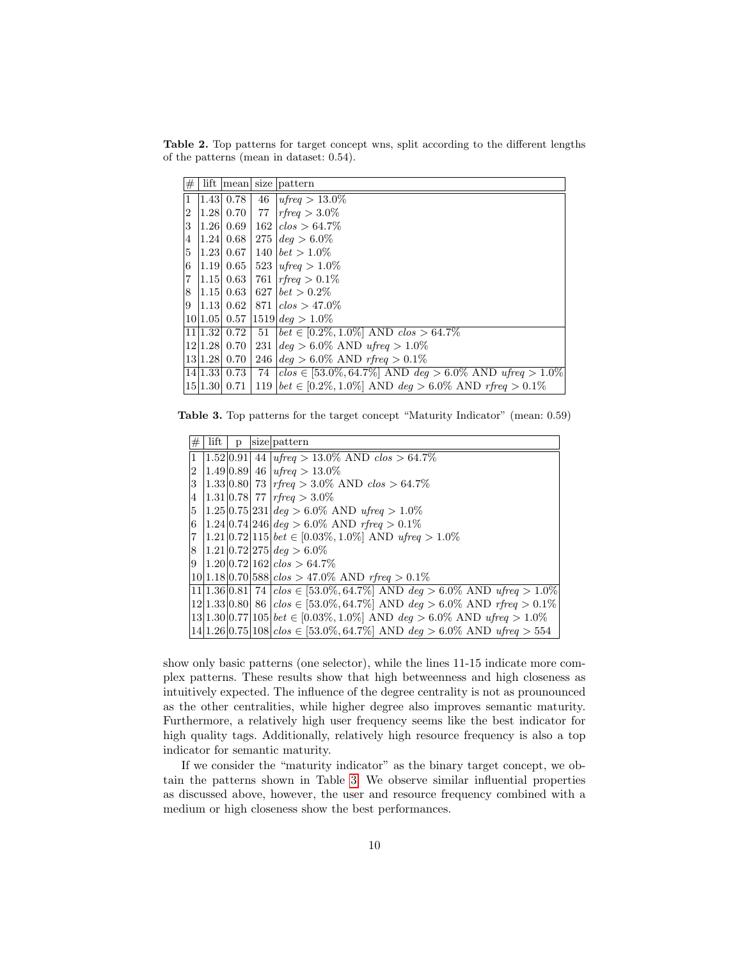<span id="page-9-0"></span>Table 2. Top patterns for target concept wns, split according to the different lengths of the patterns (mean in dataset: 0.54).

| #              | lift |                  |     | mean size pattern                                                                |
|----------------|------|------------------|-----|----------------------------------------------------------------------------------|
| 1              |      | $1.43 \mid 0.78$ | 46  | $ufreq > 13.0\%$                                                                 |
| $\overline{2}$ |      | 1.28 0.70        | 77  | $rfreq > 3.0\%$                                                                  |
| 3              |      | 1.26 0.69        | 162 | $ c $ $\geq 64.7\%$                                                              |
| 4              |      | $1.24 \mid 0.68$ |     | $275 \, \text{deg} > 6.0\%$                                                      |
| 5              |      | $ 1.23 $ 0.67    | 140 | $ bet > 1.0\%$                                                                   |
| 6              |      | 1.19 0.65        |     | 523   $u$ freq $> 1.0\%$                                                         |
| 7              |      | 1.15  0.63       | 761 | $ rfreq>0.1\%$                                                                   |
| 8              |      | $ 1.15 $ 0.63    |     | $627$   $bet > 0.2\%$                                                            |
|                |      |                  |     | $9 \mid 1.13 \mid 0.62 \mid 871 \mid clos > 47.0\%$                              |
|                |      | $10 1.05 $ 0.57  |     | $ 1519 $ deg $> 1.0\%$                                                           |
|                |      | 11 1.32 0.72     | 51  | $ bet \in [0.2\%, 1.0\%]$ AND $clos > 64.7\%$                                    |
|                |      | 12 1.28 0.70     | 231 | $deq > 6.0\%$ AND ufreq $> 1.0\%$                                                |
|                |      | 13 1.28 0.70     |     | 246 $\deg$ > 6.0% AND rfreq > 0.1%                                               |
|                |      | 14 1.33 0.73     | 74  | $\left[ clos \in [53.0\%, 64.7\%]$ AND $deg > 6.0\%$ AND $ufreq > 1.0\% \right]$ |
|                |      | 15 1.30 0.71     |     | 119   $bet \in [0.2\%, 1.0\%]$ AND $deg > 6.0\%$ AND rfreq $> 0.1\%$             |

<span id="page-9-1"></span>Table 3. Top patterns for the target concept "Maturity Indicator" (mean: 0.59)

| #           | lift | p | size pattern                                                                          |
|-------------|------|---|---------------------------------------------------------------------------------------|
|             |      |   | $ 1 $ 1.52 $ 0.91 $ 44 $ ufreq > 13.0\%$ AND $\overline{clos} > 64.7\%$               |
| $2^{\circ}$ |      |   | $ 1.49 0.89 $ 46   ufreq > 13.0%                                                      |
| 3           |      |   | $ 1.33 0.80 $ 73  rfreq > 3.0% AND clos > 64.7%                                       |
| 4           |      |   | $ 1.31 0.78 $ 77   rfreq $> 3.0\%$                                                    |
|             |      |   | 5   1.25  0.75  231   $deg > 6.0\%$ AND $ufreq > 1.0\%$                               |
|             |      |   | 6   1.24   0.74   246   $deg > 6.0\%$ AND rfreq $> 0.1\%$                             |
|             |      |   | $ 7 1.21 0.72 115 $ bet $\in [0.03\%, 1.0\%]$ AND ufreq $> 1.0\%$                     |
|             |      |   | 8   1.21   0.72   275   $deq > 6.0\%$                                                 |
|             |      |   | $ 9 1.20 0.72 162 $ clos > 64.7\%                                                     |
|             |      |   | $ 10 1.18 0.70 588 $ clos > 47.0% AND rfreq > 0.1%                                    |
|             |      |   | 11 1.36 0.81  74   $close \in [53.0\%, 64.7\%]$ AND $deg > 6.0\%$ AND $ufreq > 1.0\%$ |
|             |      |   | $12 1.33 0.80 $ 86 $ clos \in [53.0\%, 64.7\%]$ AND $deg > 6.0\%$ AND rfreq $> 0.1\%$ |
|             |      |   | $13 1.30 0.77 105 $ bet $\in [0.03\%, 1.0\%]$ AND deg $> 6.0\%$ AND ufreq $> 1.0\%$   |
|             |      |   | $ 14 1.26 0.75 108 $ clos $\in$ [53.0%, 64.7%] AND deg > 6.0% AND ufreq > 554         |

show only basic patterns (one selector), while the lines 11-15 indicate more complex patterns. These results show that high betweenness and high closeness as intuitively expected. The influence of the degree centrality is not as prounounced as the other centralities, while higher degree also improves semantic maturity. Furthermore, a relatively high user frequency seems like the best indicator for high quality tags. Additionally, relatively high resource frequency is also a top indicator for semantic maturity.

If we consider the "maturity indicator" as the binary target concept, we obtain the patterns shown in Table [3.](#page-9-1) We observe similar influential properties as discussed above, however, the user and resource frequency combined with a medium or high closeness show the best performances.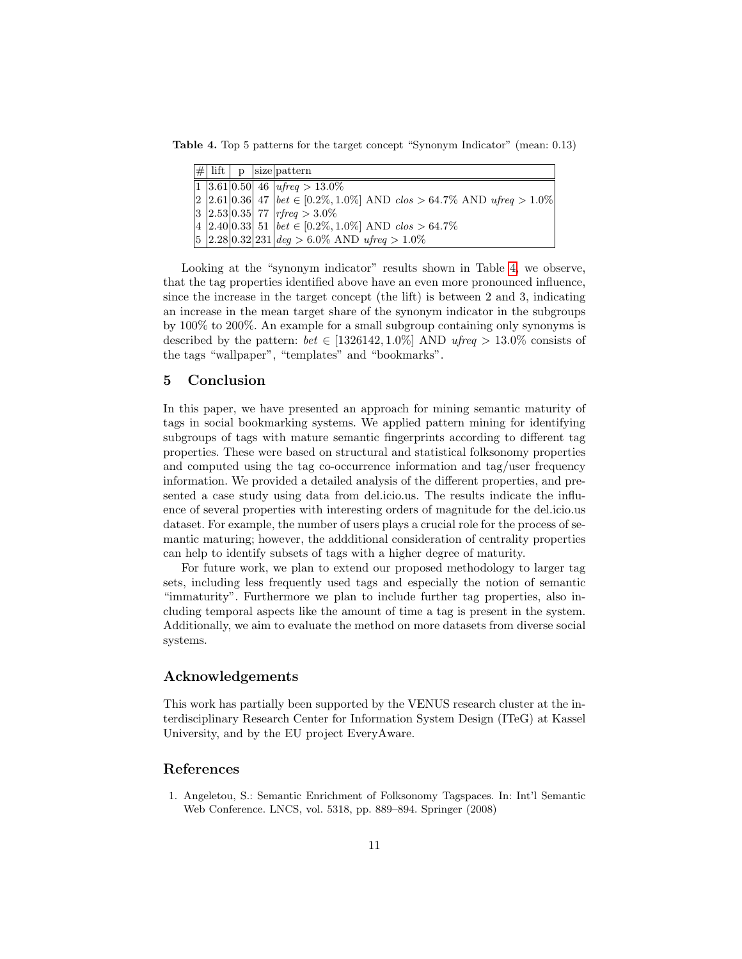Table 4. Top 5 patterns for the target concept "Synonym Indicator" (mean: 0.13)

<span id="page-10-2"></span>

|  |  | $ \# $ lift $ p $ size pattern                                                                                          |
|--|--|-------------------------------------------------------------------------------------------------------------------------|
|  |  | $\boxed{1}$ 3.61 0.50 46 <i>ufreq</i> > 13.0%                                                                           |
|  |  | $\vert 2 \vert 2.61 \vert 0.36 \vert 47 \vert \, bet \in [0.2\%, 1.0\%]$ AND $\cos > 64.7\%$ AND $\iota$ freq $> 1.0\%$ |
|  |  | $ 3 2.53 0.35 $ 77   rfreq $>3.0\%$                                                                                     |
|  |  | $ 4 2.40 0.33 $ 51 $ bet \in [0.2\%, 1.0\%]$ AND $clos > 64.7\%$                                                        |
|  |  | $ 5 2.28 0.32 231 $ deg > 6.0% AND ufreq > 1.0%                                                                         |

Looking at the "synonym indicator" results shown in Table [4,](#page-10-2) we observe, that the tag properties identified above have an even more pronounced influence, since the increase in the target concept (the lift) is between 2 and 3, indicating an increase in the mean target share of the synonym indicator in the subgroups by 100% to 200%. An example for a small subgroup containing only synonyms is described by the pattern:  $bet \in [1326142, 1.0\%]$  AND ufreq > 13.0% consists of the tags "wallpaper", "templates" and "bookmarks".

### <span id="page-10-0"></span>5 Conclusion

In this paper, we have presented an approach for mining semantic maturity of tags in social bookmarking systems. We applied pattern mining for identifying subgroups of tags with mature semantic fingerprints according to different tag properties. These were based on structural and statistical folksonomy properties and computed using the tag co-occurrence information and tag/user frequency information. We provided a detailed analysis of the different properties, and presented a case study using data from del.icio.us. The results indicate the influence of several properties with interesting orders of magnitude for the del.icio.us dataset. For example, the number of users plays a crucial role for the process of semantic maturing; however, the addditional consideration of centrality properties can help to identify subsets of tags with a higher degree of maturity.

For future work, we plan to extend our proposed methodology to larger tag sets, including less frequently used tags and especially the notion of semantic "immaturity". Furthermore we plan to include further tag properties, also including temporal aspects like the amount of time a tag is present in the system. Additionally, we aim to evaluate the method on more datasets from diverse social systems.

### Acknowledgements

This work has partially been supported by the VENUS research cluster at the interdisciplinary Research Center for Information System Design (ITeG) at Kassel University, and by the EU project EveryAware.

### References

<span id="page-10-1"></span>1. Angeletou, S.: Semantic Enrichment of Folksonomy Tagspaces. In: Int'l Semantic Web Conference. LNCS, vol. 5318, pp. 889–894. Springer (2008)